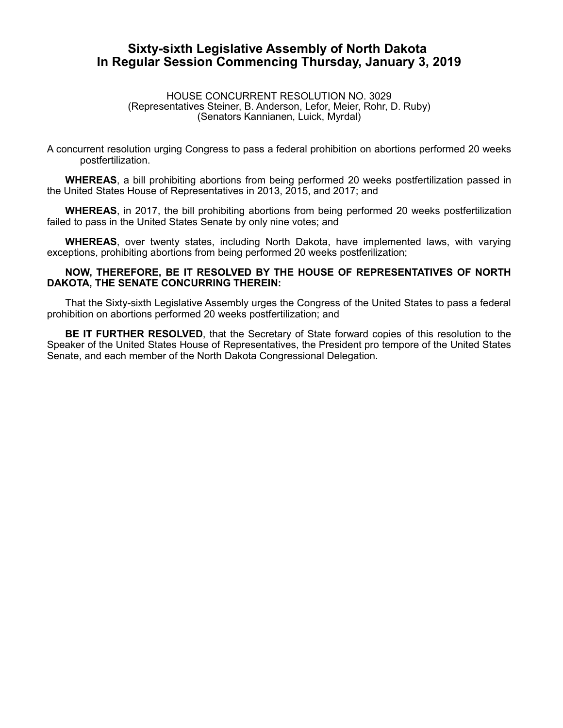## **Sixty-sixth Legislative Assembly of North Dakota In Regular Session Commencing Thursday, January 3, 2019**

HOUSE CONCURRENT RESOLUTION NO. 3029 (Representatives Steiner, B. Anderson, Lefor, Meier, Rohr, D. Ruby) (Senators Kannianen, Luick, Myrdal)

A concurrent resolution urging Congress to pass a federal prohibition on abortions performed 20 weeks postfertilization.

**WHEREAS**, a bill prohibiting abortions from being performed 20 weeks postfertilization passed in the United States House of Representatives in 2013, 2015, and 2017; and

**WHEREAS**, in 2017, the bill prohibiting abortions from being performed 20 weeks postfertilization failed to pass in the United States Senate by only nine votes; and

**WHEREAS**, over twenty states, including North Dakota, have implemented laws, with varying exceptions, prohibiting abortions from being performed 20 weeks postferilization;

## **NOW, THEREFORE, BE IT RESOLVED BY THE HOUSE OF REPRESENTATIVES OF NORTH DAKOTA, THE SENATE CONCURRING THEREIN:**

That the Sixty-sixth Legislative Assembly urges the Congress of the United States to pass a federal prohibition on abortions performed 20 weeks postfertilization; and

**BE IT FURTHER RESOLVED**, that the Secretary of State forward copies of this resolution to the Speaker of the United States House of Representatives, the President pro tempore of the United States Senate, and each member of the North Dakota Congressional Delegation.